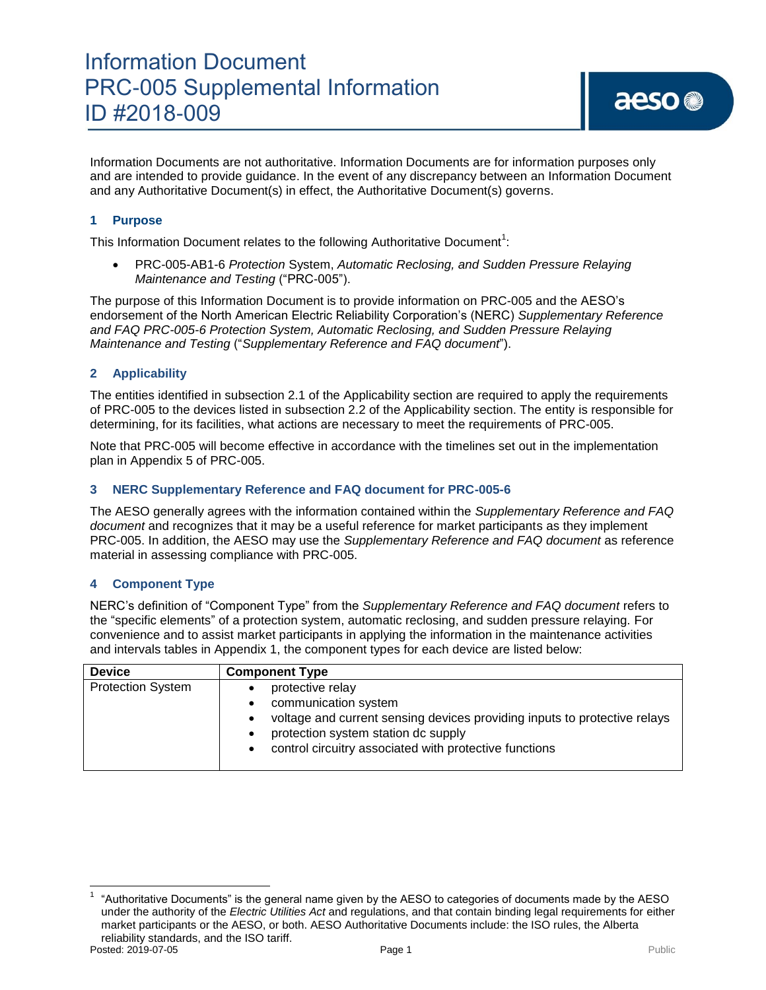Information Documents are not authoritative. Information Documents are for information purposes only and are intended to provide guidance. In the event of any discrepancy between an Information Document and any Authoritative Document(s) in effect, the Authoritative Document(s) governs.

#### **1 Purpose**

This Information Document relates to the following Authoritative Document<sup>1</sup>:

 PRC-005-AB1-6 *Protection* System, *Automatic Reclosing, and Sudden Pressure Relaying Maintenance and Testing* ("PRC-005").

The purpose of this Information Document is to provide information on PRC-005 and the AESO's endorsement of the North American Electric Reliability Corporation's (NERC) *Supplementary Reference and FAQ PRC-005-6 Protection System, Automatic Reclosing, and Sudden Pressure Relaying Maintenance and Testing* ("*Supplementary Reference and FAQ document*").

#### **2 Applicability**

The entities identified in subsection 2.1 of the Applicability section are required to apply the requirements of PRC-005 to the devices listed in subsection 2.2 of the Applicability section. The entity is responsible for determining, for its facilities, what actions are necessary to meet the requirements of PRC-005.

Note that PRC-005 will become effective in accordance with the timelines set out in the implementation plan in Appendix 5 of PRC-005.

#### **3 NERC Supplementary Reference and FAQ document for PRC-005-6**

The AESO generally agrees with the information contained within the *Supplementary Reference and FAQ document* and recognizes that it may be a useful reference for market participants as they implement PRC-005. In addition, the AESO may use the *Supplementary Reference and FAQ document* as reference material in assessing compliance with PRC-005.

#### **4 Component Type**

NERC's definition of "Component Type" from the *Supplementary Reference and FAQ document* refers to the "specific elements" of a protection system, automatic reclosing, and sudden pressure relaying. For convenience and to assist market participants in applying the information in the maintenance activities and intervals tables in Appendix 1, the component types for each device are listed below:

| <b>Device</b>            | <b>Component Type</b>                                                                                                                                                                                                                            |
|--------------------------|--------------------------------------------------------------------------------------------------------------------------------------------------------------------------------------------------------------------------------------------------|
| <b>Protection System</b> | protective relay<br>communication system<br>$\bullet$<br>voltage and current sensing devices providing inputs to protective relays<br>protection system station dc supply<br>control circuitry associated with protective functions<br>$\bullet$ |

 $\overline{\phantom{a}}$ 

Posted: 2019-07-05 Page 1 Public Page 1 Public Page 1 Public Public Public Public Public Public Public Public Public Public Public Public Public Public Public Public Public Public Public Public Public Public Public Public 1 "Authoritative Documents" is the general name given by the AESO to categories of documents made by the AESO under the authority of the *Electric Utilities Act* and regulations, and that contain binding legal requirements for either market participants or the AESO, or both. AESO Authoritative Documents include: the ISO rules, the Alberta reliability standards, and the ISO tariff.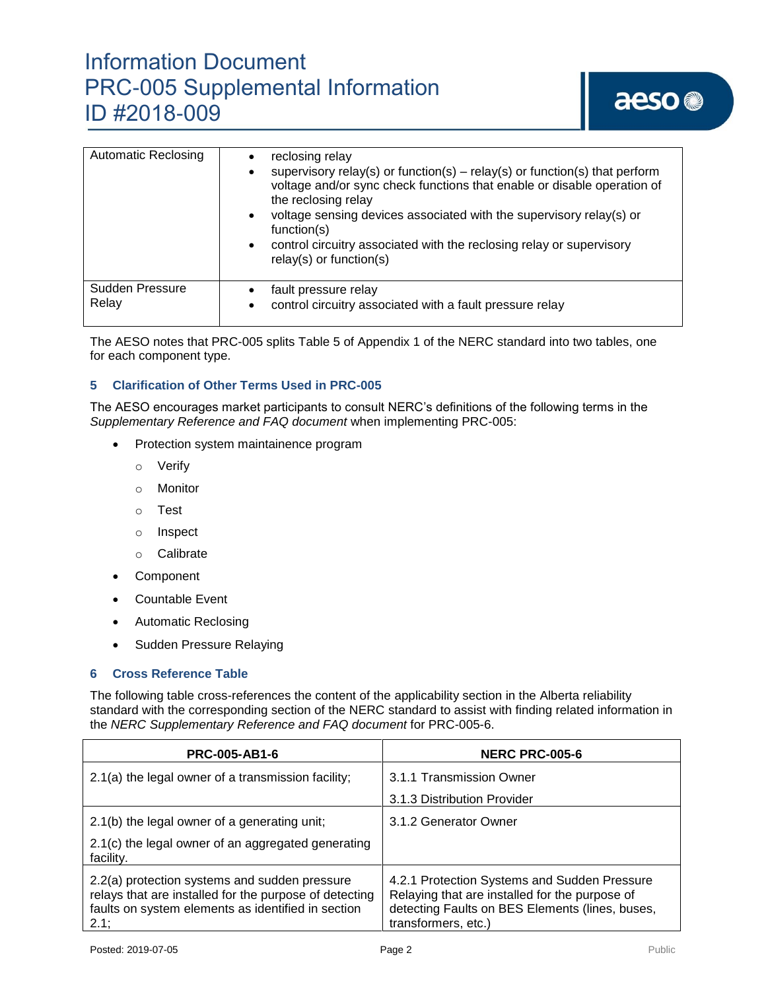### Information Document PRC-005 Supplemental Information ID #2018-009

## aeso<sup>®</sup>

| <b>Automatic Reclosing</b> | reclosing relay<br>supervisory relay(s) or function(s) – relay(s) or function(s) that perform<br>voltage and/or sync check functions that enable or disable operation of<br>the reclosing relay<br>voltage sensing devices associated with the supervisory relay(s) or<br>function(s)<br>control circuitry associated with the reclosing relay or supervisory<br>$relay(s)$ or function(s) |
|----------------------------|--------------------------------------------------------------------------------------------------------------------------------------------------------------------------------------------------------------------------------------------------------------------------------------------------------------------------------------------------------------------------------------------|
| Sudden Pressure<br>Relay   | fault pressure relay<br>control circuitry associated with a fault pressure relay                                                                                                                                                                                                                                                                                                           |

The AESO notes that PRC-005 splits Table 5 of Appendix 1 of the NERC standard into two tables, one for each component type.

#### **5 Clarification of Other Terms Used in PRC-005**

The AESO encourages market participants to consult NERC's definitions of the following terms in the *Supplementary Reference and FAQ document* when implementing PRC-005:

- Protection system maintainence program
	- o Verify
	- o Monitor
	- o Test
	- o Inspect
	- o Calibrate
- Component
- Countable Event
- Automatic Reclosing
- Sudden Pressure Relaying

#### **6 Cross Reference Table**

The following table cross-references the content of the applicability section in the Alberta reliability standard with the corresponding section of the NERC standard to assist with finding related information in the *NERC Supplementary Reference and FAQ document* for PRC-005-6.

| <b>PRC-005-AB1-6</b>                                                                                                                                                     | <b>NERC PRC-005-6</b>                                                                                                                                                    |  |
|--------------------------------------------------------------------------------------------------------------------------------------------------------------------------|--------------------------------------------------------------------------------------------------------------------------------------------------------------------------|--|
| 2.1(a) the legal owner of a transmission facility;                                                                                                                       | 3.1.1 Transmission Owner                                                                                                                                                 |  |
|                                                                                                                                                                          | 3.1.3 Distribution Provider                                                                                                                                              |  |
| 2.1(b) the legal owner of a generating unit;                                                                                                                             | 3.1.2 Generator Owner                                                                                                                                                    |  |
| 2.1(c) the legal owner of an aggregated generating<br>facility.                                                                                                          |                                                                                                                                                                          |  |
| 2.2(a) protection systems and sudden pressure<br>relays that are installed for the purpose of detecting<br>faults on system elements as identified in section<br>$2.1$ ; | 4.2.1 Protection Systems and Sudden Pressure<br>Relaying that are installed for the purpose of<br>detecting Faults on BES Elements (lines, buses,<br>transformers, etc.) |  |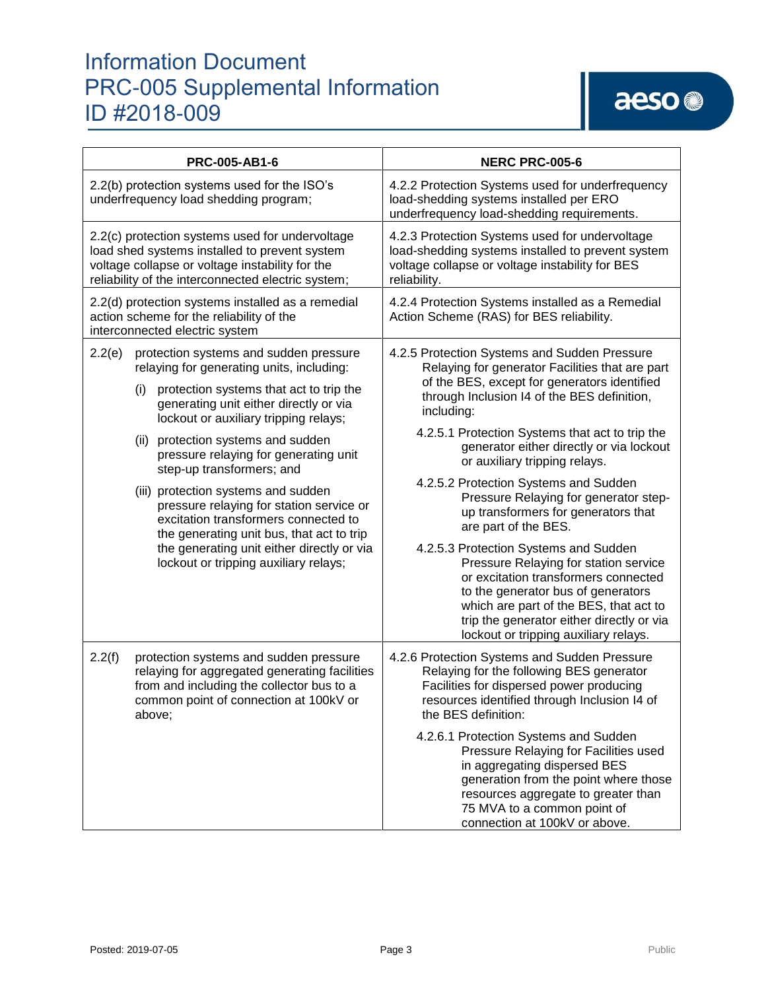### Information Document PRC-005 Supplemental Information ID #2018-009

| PRC-005-AB1-6                                                                                                                                                                                                                                                                                                                                                                                                                                                                                                                                                                                                 | <b>NERC PRC-005-6</b>                                                                                                                                                                                                                                                                                                                                                                                                                                                                                                                                                                                                                                                                                   |
|---------------------------------------------------------------------------------------------------------------------------------------------------------------------------------------------------------------------------------------------------------------------------------------------------------------------------------------------------------------------------------------------------------------------------------------------------------------------------------------------------------------------------------------------------------------------------------------------------------------|---------------------------------------------------------------------------------------------------------------------------------------------------------------------------------------------------------------------------------------------------------------------------------------------------------------------------------------------------------------------------------------------------------------------------------------------------------------------------------------------------------------------------------------------------------------------------------------------------------------------------------------------------------------------------------------------------------|
| 2.2(b) protection systems used for the ISO's<br>underfrequency load shedding program;                                                                                                                                                                                                                                                                                                                                                                                                                                                                                                                         | 4.2.2 Protection Systems used for underfrequency<br>load-shedding systems installed per ERO<br>underfrequency load-shedding requirements.                                                                                                                                                                                                                                                                                                                                                                                                                                                                                                                                                               |
| 2.2(c) protection systems used for undervoltage<br>load shed systems installed to prevent system<br>voltage collapse or voltage instability for the<br>reliability of the interconnected electric system;                                                                                                                                                                                                                                                                                                                                                                                                     | 4.2.3 Protection Systems used for undervoltage<br>load-shedding systems installed to prevent system<br>voltage collapse or voltage instability for BES<br>reliability.                                                                                                                                                                                                                                                                                                                                                                                                                                                                                                                                  |
| 2.2(d) protection systems installed as a remedial<br>action scheme for the reliability of the<br>interconnected electric system                                                                                                                                                                                                                                                                                                                                                                                                                                                                               | 4.2.4 Protection Systems installed as a Remedial<br>Action Scheme (RAS) for BES reliability.                                                                                                                                                                                                                                                                                                                                                                                                                                                                                                                                                                                                            |
| 2.2(e)<br>protection systems and sudden pressure<br>relaying for generating units, including:<br>protection systems that act to trip the<br>(i)<br>generating unit either directly or via<br>lockout or auxiliary tripping relays;<br>(ii) protection systems and sudden<br>pressure relaying for generating unit<br>step-up transformers; and<br>(iii) protection systems and sudden<br>pressure relaying for station service or<br>excitation transformers connected to<br>the generating unit bus, that act to trip<br>the generating unit either directly or via<br>lockout or tripping auxiliary relays; | 4.2.5 Protection Systems and Sudden Pressure<br>Relaying for generator Facilities that are part<br>of the BES, except for generators identified<br>through Inclusion I4 of the BES definition,<br>including:<br>4.2.5.1 Protection Systems that act to trip the<br>generator either directly or via lockout<br>or auxiliary tripping relays.<br>4.2.5.2 Protection Systems and Sudden<br>Pressure Relaying for generator step-<br>up transformers for generators that<br>are part of the BES.<br>4.2.5.3 Protection Systems and Sudden<br>Pressure Relaying for station service<br>or excitation transformers connected<br>to the generator bus of generators<br>which are part of the BES, that act to |
| 2.2(f)<br>protection systems and sudden pressure<br>relaying for aggregated generating facilities<br>from and including the collector bus to a<br>common point of connection at 100kV or<br>above;                                                                                                                                                                                                                                                                                                                                                                                                            | trip the generator either directly or via<br>lockout or tripping auxiliary relays.<br>4.2.6 Protection Systems and Sudden Pressure<br>Relaying for the following BES generator<br>Facilities for dispersed power producing<br>resources identified through Inclusion I4 of<br>the BES definition:<br>4.2.6.1 Protection Systems and Sudden<br>Pressure Relaying for Facilities used<br>in aggregating dispersed BES                                                                                                                                                                                                                                                                                     |
|                                                                                                                                                                                                                                                                                                                                                                                                                                                                                                                                                                                                               | generation from the point where those<br>resources aggregate to greater than<br>75 MVA to a common point of<br>connection at 100kV or above.                                                                                                                                                                                                                                                                                                                                                                                                                                                                                                                                                            |